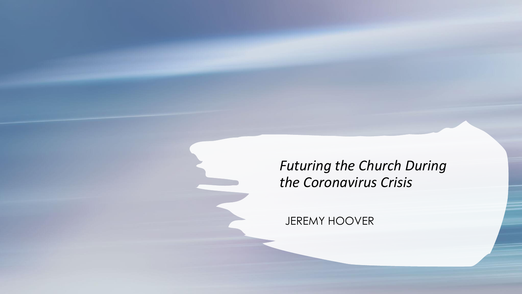### *Futuring the Church During the Coronavirus Crisis*

JEREMY HOOVER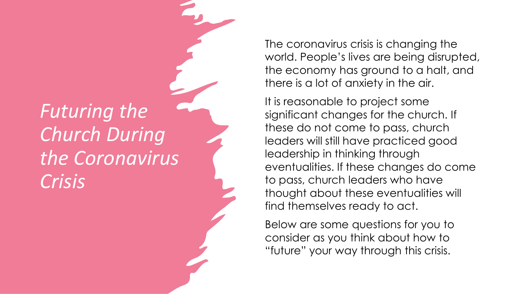### *Futuring the Church During the Coronavirus Crisis*

The coronavirus crisis is changing the world. People's lives are being disrupted, the economy has ground to a halt, and there is a lot of anxiety in the air.

It is reasonable to project some significant changes for the church. If these do not come to pass, church leaders will still have practiced good leadership in thinking through eventualities. If these changes do come to pass, church leaders who have thought about these eventualities will find themselves ready to act.

Below are some questions for you to consider as you think about how to "future" your way through this crisis.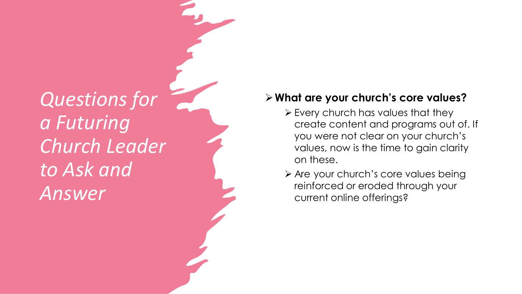#### ➢**What are your church's core values?**

- ➢ Every church has values that they create content and programs out of. If you were not clear on your church's values, now is the time to gain clarity on these.
- ➢ Are your church's core values being reinforced or eroded through your current online offerings?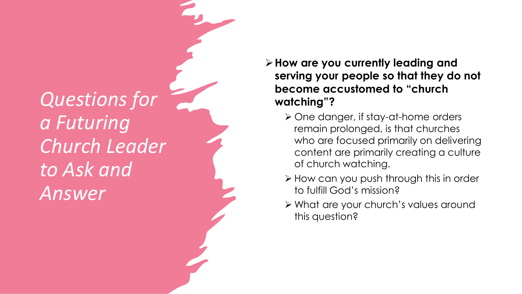#### ➢**How are you currently leading and serving your people so that they do not become accustomed to "church watching"?**

- ➢ One danger, if stay -at -home orders remain prolonged, is that churches who are focused primarily on delivering content are primarily creating a culture of church watching.
- ➢ How can you push through this in order to fulfill God's mission?
- ➢ What are your church's values around this question?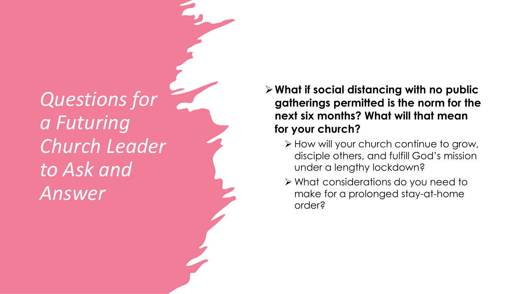### ➢**What if social distancing with no public gatherings permitted is the norm for the next six months? What will that mean for your church ?**

- ➢ How will your church continue to grow, disciple others, and fulfill God's mission under a lengthy lockdown?
- ➢ What considerations do you need to make for a prolonged stay -at -home order?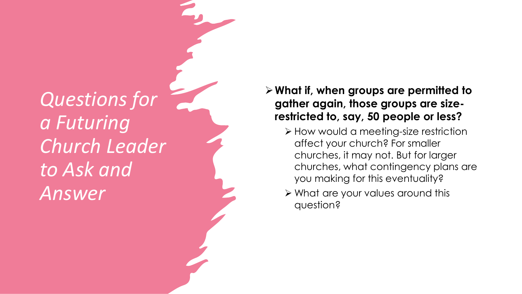#### ➢**What if, when groups are permitted to gather again, those groups are size restricted to, say, 50 people or less?**

- ➢ How would a meeting-size restriction affect your church? For smaller churches, it may not. But for larger churches, what contingency plans are you making for this eventuality?
- ➢ What are your values around this question ?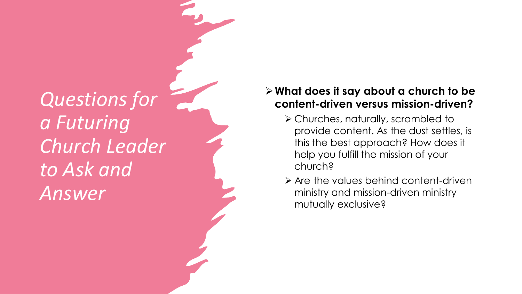#### ➢**What does it say about a church to be content -driven versus mission -driven?**

- ➢ Churches, naturally, scrambled to provide content. As the dust settles, is this the best approach? How does it help you fulfill the mission of your church?
- ➢ Are the values behind content -driven ministry and mission -driven ministry mutually exclusive ?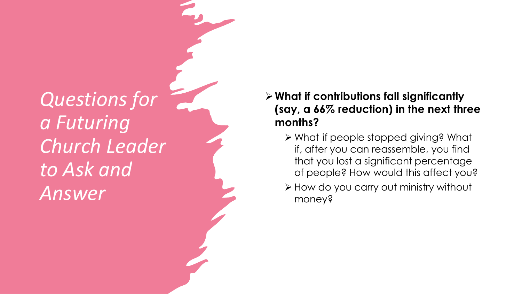### ➢**What if contributions fall significantly (say, a 66% reduction) in the next three months?**

- ➢ What if people stopped giving? What if, after you can reassemble, you find that you lost a significant percentage of people? How would this affect you?
- ➢ How do you carry out ministry without money ?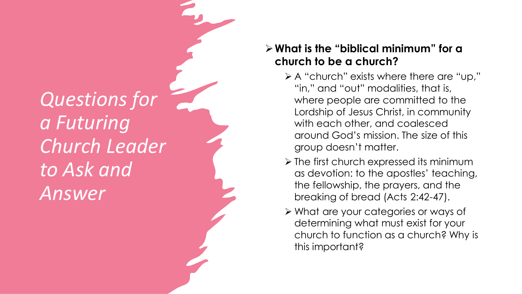### ➢**What is the "biblical minimum" for a church to be a church ?**

- ➢ A "church" exists where there are "up," "in," and "out" modalities, that is, where people are committed to the Lordship of Jesus Christ, in community with each other, and coalesced around God's mission. The size of this group doesn't matter.
- ➢ The first church expressed its minimum as devotion: to the apostles' teaching, the fellowship, the prayers, and the breaking of bread (Acts 2:42 -47).
- ➢ What are your categories or ways of determining what must exist for your church to function as a church? Why is this important?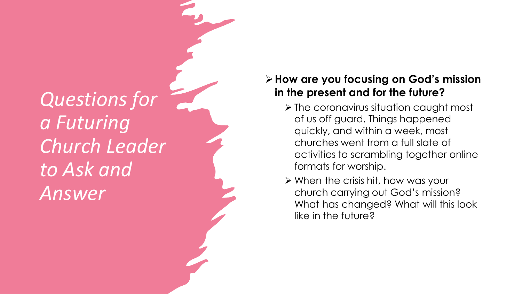### ➢**How are you focusing on God's mission in the present and for the future?**

- ➢ The coronavirus situation caught most of us off guard. Things happened quickly, and within a week, most churches went from a full slate of activities to scrambling together online formats for worship.
- ➢ Whe n the crisis hit, ho w was your church carrying out God's mission? What has changed? What will this look like in the future ?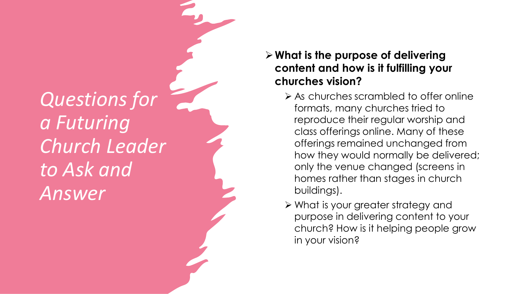### ➢**What is the purpose of delivering content and how is it fulfilling your churches vision?**

- ➢ As churches scrambled to offer online formats, many churches tried to reproduce their regular worship and class offerings online. Many of these offerings remained unchanged from how they would normally be delivered; only the venue changed (screens in homes rather than stages in church buildings).
- ➢ What is your greater strategy and purpose in delivering content to your church? How is it helping people grow in your vision?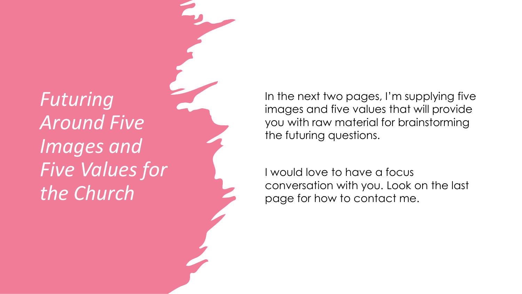# *Futuring Around Five Images and Five Values for the Church*

In the next two pages, I'm supplying five images and five values that will provide you with raw material for brainstorming the futuring questions.

I would love to have a focus conversation with you. Look on the last page for how to contact me.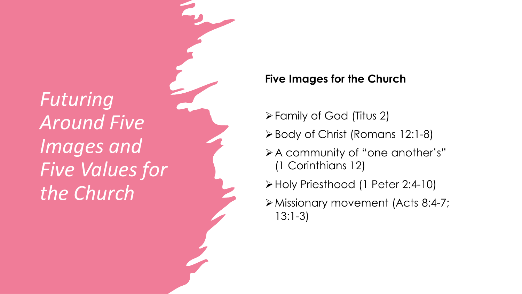*Futuring Around Five Images and Five Values for the Church*

#### **Five Images for the Church**

- ➢Family of God (Titus 2)
- ➢Body of Christ (Romans 12:1 -8)
- ➢A community of "one another's" (1 Corinthians 12)
- ➢Holy Priesthood (1 Peter 2:4 -10)
- ➢Missionary movement (Acts 8:4 -7; 13:1 -3)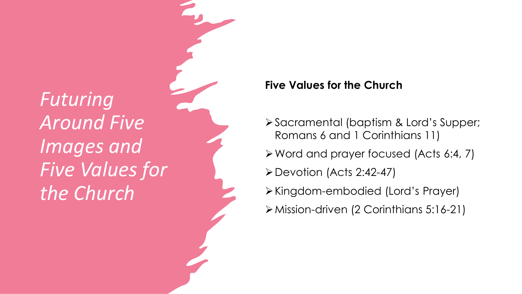*Futuring Around Five Images and Five Values for the Church*

#### **Five Values for the Church**

- ➢Sacramental (baptism & Lord's Supper; Romans 6 and 1 Corinthians 11)
- ➢Word and prayer focused (Acts 6:4, 7)
- ➢Devotion (Acts 2:42-47)
- ➢Kingdom-embodied (Lord's Prayer)
- ➢Mission-driven (2 Corinthians 5:16-21)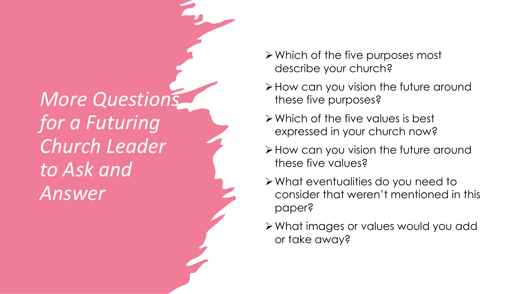- ➢Which of the five purposes most describe your church?
- ➢How can you vision the future around these five purposes?
- ➢Which of the five values is best expressed in your church now?
- ➢How can you vision the future around these five values?
- ➢What eventualities do you need to consider that weren't mentioned in this paper?
- ➢What images or values would you add or take away?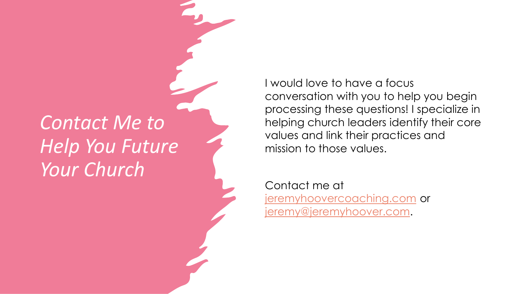### *Contact Me to Help You Future Your Church*

I would love to have a focus conversation with you to help you begin processing these questions! I specialize in helping church leaders identify their core values and link their practices and mission to those values.

Contact me at <jeremyhoovercoaching.com> or [jeremy@jeremyhoover.com](mailto:jeremy@jeremyhoover.com).